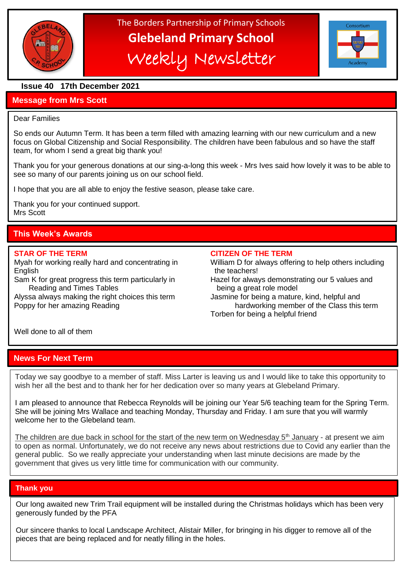

# The Borders Partnership of Primary Schools **Glebeland Primary School** Weekly Newsletter



# **Issue 40 17th December 2021**

# **Message from Mrs Scott**

#### Dear Families

So ends our Autumn Term. It has been a term filled with amazing learning with our new curriculum and a new focus on Global Citizenship and Social Responsibility. The children have been fabulous and so have the staff team, for whom I send a great big thank you!

Thank you for your generous donations at our sing-a-long this week - Mrs Ives said how lovely it was to be able to see so many of our parents joining us on our school field.

I hope that you are all able to enjoy the festive season, please take care.

Thank you for your continued support. Mrs Scott

# **This Week's Awards**

English the teachers!

Sam K for great progress this term particularly in Hazel for always demonstrating our 5 values and Reading and Times Tables **being a great role model** 

#### **STAR OF THE TERM CITIZEN OF THE TERM**

- Myah for working really hard and concentrating in William D for always offering to help others including
	-

Alyssa always making the right choices this term Jasmine for being a mature, kind, helpful and Poppy for her amazing Reading hardworking member of the Class this term Torben for being a helpful friend

Well done to all of them

# **News For Next Term**

Today we say goodbye to a member of staff. Miss Larter is leaving us and I would like to take this opportunity to wish her all the best and to thank her for her dedication over so many years at Glebeland Primary.

I am pleased to announce that Rebecca Reynolds will be joining our Year 5/6 teaching team for the Spring Term. She will be joining Mrs Wallace and teaching Monday, Thursday and Friday. I am sure that you will warmly welcome her to the Glebeland team.

The children are due back in school for the start of the new term on Wednesday  $5<sup>th</sup>$  January - at present we aim to open as normal. Unfortunately, we do not receive any news about restrictions due to Covid any earlier than the general public. So we really appreciate your understanding when last minute decisions are made by the government that gives us very little time for communication with our community.

# **Thank you**

Our long awaited new Trim Trail equipment will be installed during the Christmas holidays which has been very generously funded by the PFA

Our sincere thanks to local Landscape Architect, Alistair Miller, for bringing in his digger to remove all of the pieces that are being replaced and for neatly filling in the holes.